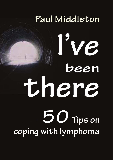# Paul Middleton

IV e

been there 50 Tips on coping with lymphoma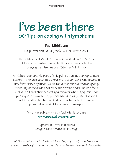I've been there

## **I've been there 50 Tips on coping with lymphoma**

### **Paul Middleton**

This .pdf version Copyright **©** Paul Middleton 2014

The right of Paul Middleton to be identified as the Author of this work has been asserted in accordance with the Copyrights, Designs and Patents Act 1988.

All rights reserved. No part of this publication may be reproduced, stored in or introduced into a retrieval system, or transmitted, in any form or by any means, electronic, mechanical, photocopying, recording or otherwise, without prior written permission of the author and publisher, except by a reviewer who may quote brief passages in a review. Any person who does any unauthorised act in relation to this publication may be liable to criminal prosecution and civil claims for damages.

> For other publications by Paul Middleton, see  **www.greenvalleybooks.com**

> > Typeset in 18pt Tekton Pro Designed and created in InDesign

*All the website links in this booklet are live, so you only have to click on them to go straight there! For useful contacts see the end of the booklet.*

 $-1-$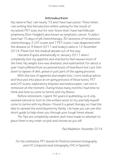#### **Introduction**

My name is Paul. I am nearly 73 and I have had cancer. Three times. I am writing this Introduction whilst waiting for the result of my latest PET scan, but for now I know that I have had follicular lymphoma (Non-Hodgkin) also known as lymphatic cancer. To date I have had 15 days of pill chemotherapy, 30 sessions of intravenous chemotherapy, 2 CAT scans and 7 PET scans. I was diagnosed with the disease on 3 March 2011 and today's date is 12 November 2014. Phew! Got the medical details out of the way.

I became ill quite dramatically in January 2011 when I completely lost my appetite and started to feel nausea most of the time. My weight loss was dramatic and substantial. For about a year I had suffered from occasional bouts of heartburn but I put this down to lapses of diet, greed or just part of the ageing process.

With the loss of appetite and weight loss, I sort medical advice and thus put into place an on-going process of blood tests, PET and CAT scans, exploratory biopsies and endoscopies. I am not in remission at the moment. During these many months I had time to think and time to come to terms with my illness.

Before retirement, I spent 30 years in publishing, so it only seemed natural to turn to the written word, to try and help myself come to terms with my illness. I found it a great therapy so I had the idea to spread the word beyond my family. I do hope you can use this short guide to help steer you through your tough times ahead.

The Tips are completely random and I have made no attempt to place them in any order, so pick and choose as you will.

#### *Paul Middleton November 2014*

*For the uninitiated, PET stands for Positron emission tomography, and CAT, Computed axial tomography (TAC in Spanish).*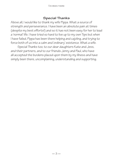#### **Special Thanks**

Above all, I would like to thank my wife Pippa. What a source of strength and perseverance. I have been an absolute pain at times (despite my best efforts!) and so it has not been easy for her to lead a 'normal' life. I have tried so hard to live up to my own Tips but when I have failed, Pippa has been there helping and cajoling, and trying to force both of us into a calm and 'ordinary' existence. What a wife.

Special Thanks too, to our dear daughters Kate and Jess, and their partners, and to our friends Jenny and Paul, who have all accepted the burdens placed upon them by my illness and have simply been there, uncomplaining, understanding and supporting.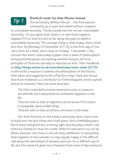### *Tip 1*

#### **Switch over to the Stoic mood**

One dictionary defines this as *'... free from passion, unmoved by joy or grief, and submit without complaint* 

*to unavoidable necessity'.* The key words here for me are 'unavoidable necessity'. Do you agree that 'what is, is' and 'what happens, happens'? If so, then it's not so far along the path to belief in unavoidable necessity. The strange thing is, that today, when I write this first Tip (Monday 25 November 2013), is the first day of *'Live Like a Stoic for a Week'*, which ends on Sunday 1 December. I only noticed this when I read today's paper, that a team of philosophers and psychotherapists are testing whether living by the true principles of Stoicism can help us improve our lives. Their Handbook at **http://blogs.exeter.ac.uk/stoicismtoday/stoic-week-2013/** is well worth a read as it outlines the philosophies of the Stoics, their ideas and suggestions for a Plan for Living. I have also found that Kare Anderson, a Contributor to *Forbes Magazine*, wrote a great article on stoicism. Here are some excerpts:.

*'The Stoic creed didn't promise material security or a peace in the afterlife; but it did promise an unshakable happiness in this life.'*

*'Stoicism tells us that no happiness can be secure if it's rooted in changeable, destructible things.'*

*'Stoicism tells us that we all have a fortress on the inside.'*

Yes, that fortress on the inside is precisely what I have tried to build over the last three and a half years. Not a forbidding place full of doom and gloom but a strong, light and airy place where I can invite my friends to stay for a while. While it's natural to cry out at illness and pain, the Stoic in one can stay indifferent to everything that happens on the outside, to stay equally happy in the difficult ride along the switchback of disease and cure. It's a difficult way of life, but the reward it gives me is freedom from some of the emotions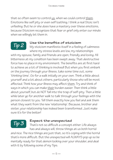that so often seem to control us, when we could control them. Emotions like self pity or even self loathing. I think a real Stoic isn't unfeeling. But he or she does have a mastery over these emotions, because Stoicism recognizes that fear or grief only enter our minds when we willingly let them in.

### *Tip 2*

#### **Use the benefits of stoicism**

My stoicism manifests itself in a feeling of calmness where my stress levels are low, my relationships

with my spouse, family and friends are open, friendly and loving. All bitterness at my condition has been swept away. That destructive force has no place in my environment. The benefits are at first hard to achieve as a lot of thinking is involved! But when you first embark on the journey through your illness, take some time out, some 'thinking time'. Go for a walk initially on your own. Think a little about yourself and a lot about others, particularly those who will be most affected. Think how your illness may affect them, Try and think of ways in which you can make their burden easier. Then think a little about yourself, but do NOT fall into the trap of self-pity. Then a little while later go for another walk to talk through your feelings with the person closest to you. Tell them exactly how you feel and ask them what they want from the new 'relationship'. Because, brother and sister, your relationship has indeed been transformed. Just make sure it's for the better!

### *Tip 3*

### **Expect the unexpected**

That's not so difficult a concept either. Life always has and always will, throw things at us both horrid

and nice. The nice things are just that, so it's coping with the horrid that's more difficult. But the unexpected will ALWAYS pop up so be mentally ready for that demon looking over your shoulder, and deal with it by following some of my Tips.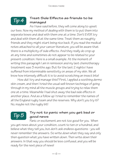### *Tip 4*

### **Treat Side Effects as friends to be managed**

As I have said before, they will come along to upset our lives. Now my method of dealing with them is to put them into separate boxes and deal with them one at a time. Don't EVER try and deal with them all at the same time. Treat them as naughty friends and they might start being nice back. If you read the medical notes attached to all your cancer literature, you will be aware that there is a multiplicity of side effects. And they really do crop up at any time and sometimes do not appear to be related to your present condition. Here is a small example. At the moment of writing this paragraph I am in remission and my last chemotherapy treatment was 3 months ago. But for the last 2 nights I have suffered from interminable sensitivity on areas of my skin. We all know how intensely difficult it is to avoid scratching an insect bite!

How did I try and manage this? First, I applied a soothing dermo skin cream, and then I tried the usual well-known technique of going through in my mind all the muscle groups and trying to relax them one at a time. Meanwhile I had shut away the bad side effects in another place. And as a follow up I tried to remember the names of all the England rugby team and the reserves. Why don't you try it? No, maybe not the rugby bit!

### *Tip 5*

### **Try not to panic when you get bad or good news**

Panic or excitement are not too good for you. When you get news about your condition, count to ten or a hundred, and believe what they tell you, but don't ask endless questions - you will never remember the answers. So write down what they say and only then question what you have written down. Then write down their answers. In that way you should be less confused, and you will be ready for the next piece of news!